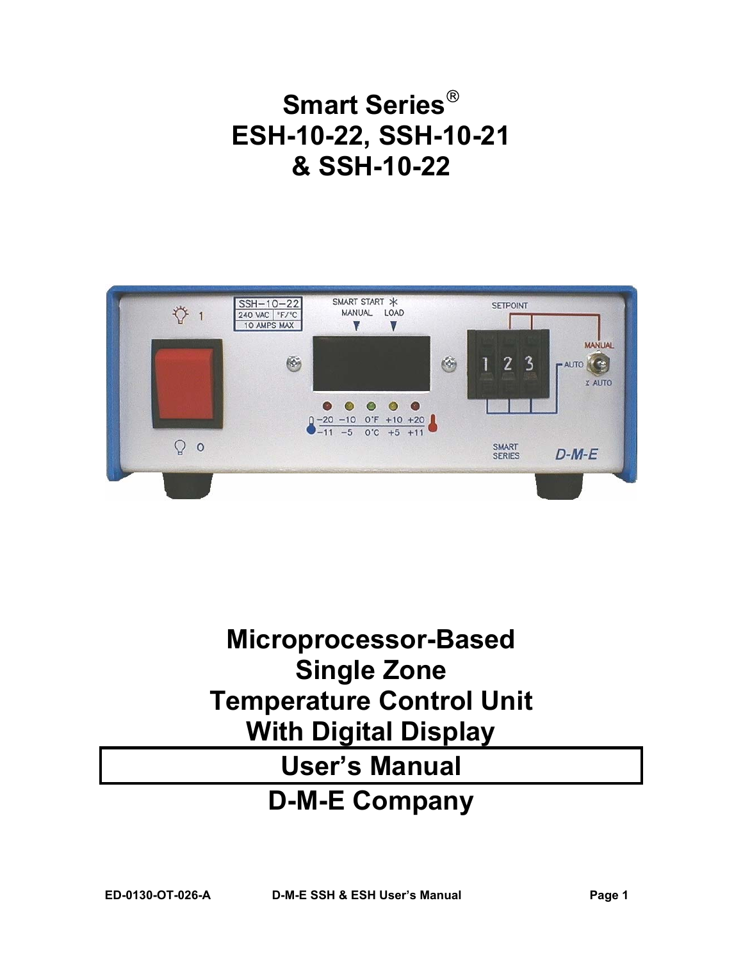# **Smart Series ESH-10-22, SSH-10-21 & SSH-10-22**



# **Microprocessor-Based Single Zone Temperature Control Unit With Digital Display User's Manual D-M-E Company**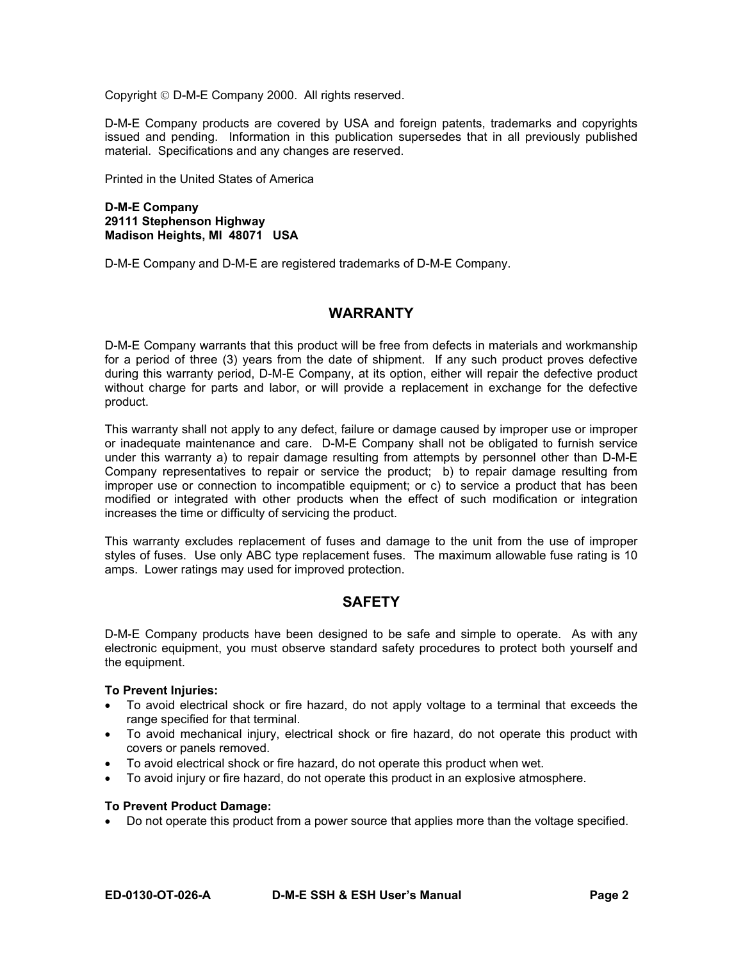Copyright D-M-E Company 2000. All rights reserved.

D-M-E Company products are covered by USA and foreign patents, trademarks and copyrights issued and pending. Information in this publication supersedes that in all previously published material. Specifications and any changes are reserved.

Printed in the United States of America

#### **D-M-E Company 29111 Stephenson Highway Madison Heights, MI 48071 USA**

D-M-E Company and D-M-E are registered trademarks of D-M-E Company.

## **WARRANTY**

D-M-E Company warrants that this product will be free from defects in materials and workmanship for a period of three (3) years from the date of shipment. If any such product proves defective during this warranty period, D-M-E Company, at its option, either will repair the defective product without charge for parts and labor, or will provide a replacement in exchange for the defective product.

This warranty shall not apply to any defect, failure or damage caused by improper use or improper or inadequate maintenance and care. D-M-E Company shall not be obligated to furnish service under this warranty a) to repair damage resulting from attempts by personnel other than D-M-E Company representatives to repair or service the product; b) to repair damage resulting from improper use or connection to incompatible equipment; or c) to service a product that has been modified or integrated with other products when the effect of such modification or integration increases the time or difficulty of servicing the product.

This warranty excludes replacement of fuses and damage to the unit from the use of improper styles of fuses. Use only ABC type replacement fuses. The maximum allowable fuse rating is 10 amps. Lower ratings may used for improved protection.

# **SAFETY**

D-M-E Company products have been designed to be safe and simple to operate. As with any electronic equipment, you must observe standard safety procedures to protect both yourself and the equipment.

#### **To Prevent Injuries:**

- To avoid electrical shock or fire hazard, do not apply voltage to a terminal that exceeds the range specified for that terminal.
- To avoid mechanical injury, electrical shock or fire hazard, do not operate this product with covers or panels removed.
- To avoid electrical shock or fire hazard, do not operate this product when wet.
- To avoid injury or fire hazard, do not operate this product in an explosive atmosphere.

#### **To Prevent Product Damage:**

• Do not operate this product from a power source that applies more than the voltage specified.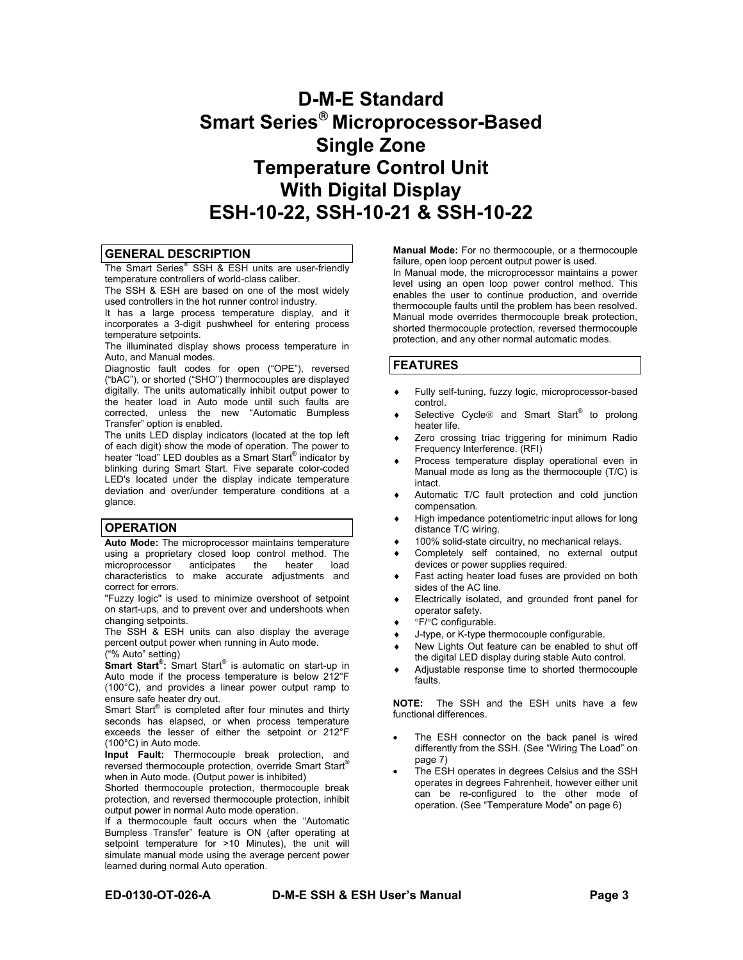# **D-M-E Standard Smart Series Microprocessor-Based Single Zone Temperature Control Unit With Digital Display ESH-10-22, SSH-10-21 & SSH-10-22**

#### **GENERAL DESCRIPTION**

The Smart Series® SSH & ESH units are user-friendly temperature controllers of world-class caliber.

The SSH & ESH are based on one of the most widely used controllers in the hot runner control industry.

It has a large process temperature display, and it incorporates a 3-digit pushwheel for entering process temperature setpoints.

The illuminated display shows process temperature in Auto, and Manual modes.

Diagnostic fault codes for open ("OPE"), reversed ("bAC"), or shorted ("SHO") thermocouples are displayed digitally. The units automatically inhibit output power to the heater load in Auto mode until such faults are corrected, unless the new "Automatic Bumpless Transfer" option is enabled.

The units LED display indicators (located at the top left of each digit) show the mode of operation. The power to heater "load" LED doubles as a Smart Start® indicator by blinking during Smart Start. Five separate color-coded LED's located under the display indicate temperature deviation and over/under temperature conditions at a glance.

#### **OPERATION**

**Auto Mode:** The microprocessor maintains temperature using a proprietary closed loop control method. The microprocessor anticipates the heater load microprocessor characteristics to make accurate adjustments and correct for errors.

"Fuzzy logic" is used to minimize overshoot of setpoint on start-ups, and to prevent over and undershoots when changing setpoints.

The SSH & ESH units can also display the average percent output power when running in Auto mode. ("% Auto" setting)

**Smart Start® :** Smart Start® is automatic on start-up in Auto mode if the process temperature is below 212°F (100°C), and provides a linear power output ramp to ensure safe heater dry out.

Smart Start® is completed after four minutes and thirty seconds has elapsed, or when process temperature exceeds the lesser of either the setpoint or 212°F (100°C) in Auto mode.

**Input Fault:** Thermocouple break protection, and reversed thermocouple protection, override Smart Start® when in Auto mode. (Output power is inhibited)

Shorted thermocouple protection, thermocouple break protection, and reversed thermocouple protection, inhibit output power in normal Auto mode operation.

If a thermocouple fault occurs when the "Automatic Bumpless Transfer" feature is ON (after operating at setpoint temperature for >10 Minutes), the unit will simulate manual mode using the average percent power learned during normal Auto operation.

**Manual Mode:** For no thermocouple, or a thermocouple failure, open loop percent output power is used.

In Manual mode, the microprocessor maintains a power level using an open loop power control method. This enables the user to continue production, and override thermocouple faults until the problem has been resolved. Manual mode overrides thermocouple break protection, shorted thermocouple protection, reversed thermocouple protection, and any other normal automatic modes.

#### **FEATURES**

- Fully self-tuning, fuzzy logic, microprocessor-based control.
- ◆ Selective Cycle<sup>®</sup> and Smart Start<sup>®</sup> to prolong heater life.
- Zero crossing triac triggering for minimum Radio Frequency Interference. (RFI)
- Process temperature display operational even in Manual mode as long as the thermocouple (T/C) is intact.
- Automatic T/C fault protection and cold junction compensation.
- High impedance potentiometric input allows for long distance T/C wiring.
- 100% solid-state circuitry, no mechanical relays.
- Completely self contained, no external output devices or power supplies required.
- Fast acting heater load fuses are provided on both sides of the AC line.
- Electrically isolated, and grounded front panel for operator safety.
- °F/°C configurable.
- J-type, or K-type thermocouple configurable.
- New Lights Out feature can be enabled to shut off the digital LED display during stable Auto control.
- Adjustable response time to shorted thermocouple faults.

**NOTE:** The SSH and the ESH units have a few functional differences.

- The ESH connector on the back panel is wired differently from the SSH. (See "Wiring The Load" on page 7)
- The ESH operates in degrees Celsius and the SSH operates in degrees Fahrenheit, however either unit can be re-configured to the other mode of operation. (See "Temperature Mode" on page 6)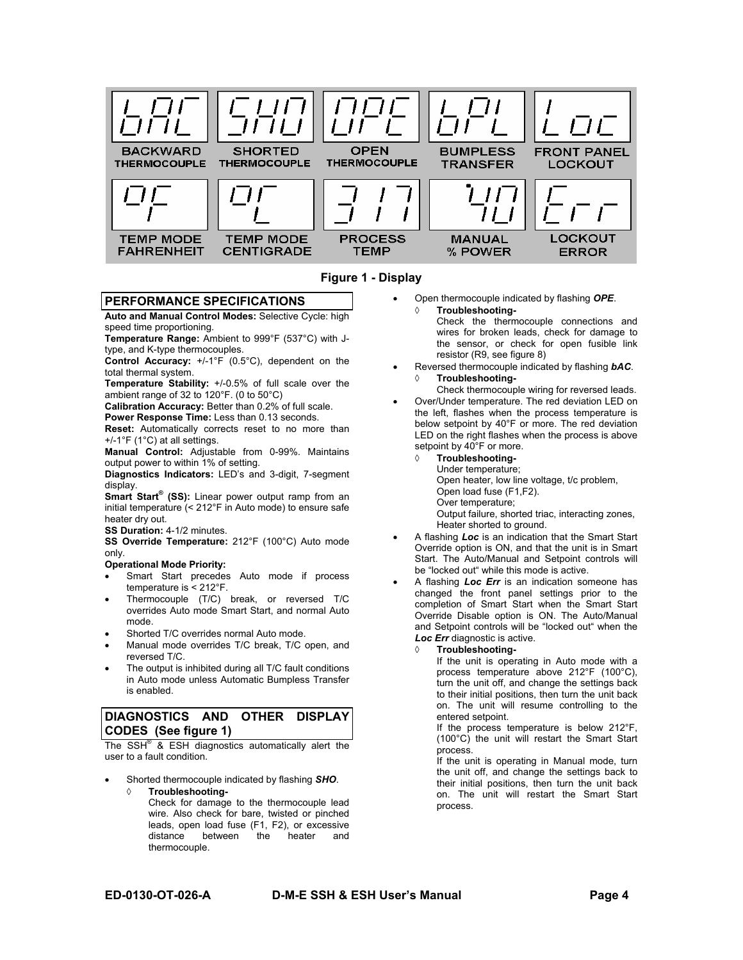



#### **PERFORMANCE SPECIFICATIONS**

**Auto and Manual Control Modes:** Selective Cycle: high speed time proportioning.

**Temperature Range:** Ambient to 999°F (537°C) with Jtype, and K-type thermocouples.

**Control Accuracy:** +/-1°F (0.5°C), dependent on the total thermal system.

**Temperature Stability:** +/-0.5% of full scale over the ambient range of 32 to 120°F. (0 to 50°C)

**Calibration Accuracy:** Better than 0.2% of full scale. **Power Response Time:** Less than 0.13 seconds.

**Reset:** Automatically corrects reset to no more than +/-1°F (1°C) at all settings.

**Manual Control:** Adjustable from 0-99%. Maintains output power to within 1% of setting.

**Diagnostics Indicators:** LED's and 3-digit, 7-segment display.

**Smart Start® (SS):** Linear power output ramp from an initial temperature (< 212°F in Auto mode) to ensure safe heater dry out.

**SS Duration:** 4-1/2 minutes.

**SS Override Temperature:** 212°F (100°C) Auto mode only.

#### **Operational Mode Priority:**

- Smart Start precedes Auto mode if process temperature is < 212°F.
- Thermocouple (T/C) break, or reversed T/C overrides Auto mode Smart Start, and normal Auto mode.
- Shorted T/C overrides normal Auto mode.
- Manual mode overrides T/C break, T/C open, and reversed T/C.
- The output is inhibited during all T/C fault conditions in Auto mode unless Automatic Bumpless Transfer is enabled.

#### **DIAGNOSTICS AND OTHER DISPLAY CODES (See figure 1)**

The  $SSH^{\circledast}$  & ESH diagnostics automatically alert the user to a fault condition.

• Shorted thermocouple indicated by flashing *SHO*.

◊ **Troubleshooting-**Check for damage to the thermocouple lead wire. Also check for bare, twisted or pinched leads, open load fuse (F1, F2), or excessive<br>distance between the heater and

between

• Open thermocouple indicated by flashing *OPE*.

◊ **Troubleshooting-**Check the thermocouple connections and wires for broken leads, check for damage to the sensor, or check for open fusible link resistor (R9, see figure 8)

• Reversed thermocouple indicated by flashing *bAC*. ◊ **Troubleshooting-**

Check thermocouple wiring for reversed leads.

- Over/Under temperature. The red deviation LED on the left, flashes when the process temperature is below setpoint by 40°F or more. The red deviation LED on the right flashes when the process is above setpoint by 40°F or more.
	- **Troubleshooting-**
		- Under temperature;

Open heater, low line voltage, t/c problem,

- Open load fuse (F1,F2).
- Over temperature;
- Output failure, shorted triac, interacting zones, Heater shorted to ground.
- A flashing *Loc* is an indication that the Smart Start Override option is ON, and that the unit is in Smart Start. The Auto/Manual and Setpoint controls will be "locked out" while this mode is active.
- A flashing *Loc Err* is an indication someone has changed the front panel settings prior to the completion of Smart Start when the Smart Start Override Disable option is ON. The Auto/Manual and Setpoint controls will be "locked out" when the *Loc Err* diagnostic is active.

#### **Troubleshooting-**

If the unit is operating in Auto mode with a process temperature above 212°F (100°C), turn the unit off, and change the settings back to their initial positions, then turn the unit back on. The unit will resume controlling to the entered setpoint.

If the process temperature is below 212°F, (100°C) the unit will restart the Smart Start process.

If the unit is operating in Manual mode, turn the unit off, and change the settings back to their initial positions, then turn the unit back on. The unit will restart the Smart Start process.

thermocouple.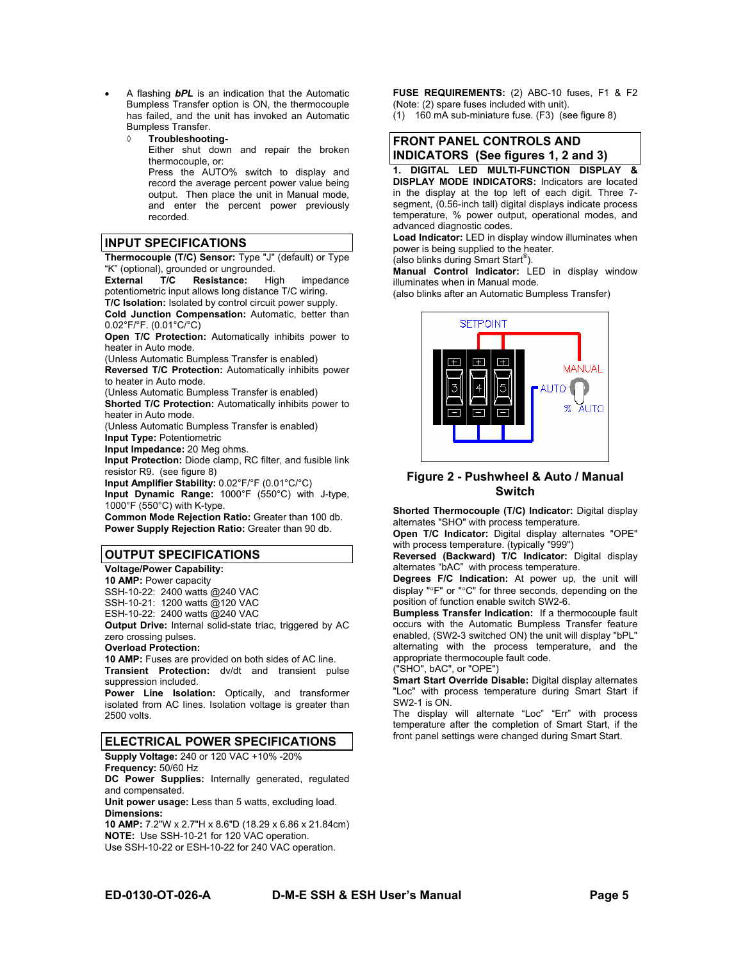- A flashing *bPL* is an indication that the Automatic Bumpless Transfer option is ON, the thermocouple has failed, and the unit has invoked an Automatic Bumpless Transfer.
	- ◊ **Troubleshooting-**Either shut down and repair the broken thermocouple, or: Press the AUTO% switch to display and record the average percent power value being output. Then place the unit in Manual mode, and enter the percent power previously recorded.

#### **INPUT SPECIFICATIONS**

**Thermocouple (T/C) Sensor:** Type "J" (default) or Type "K" (optional), grounded or ungrounded.<br> **External T/C Resistance:** High

**Resistance:** High impedance potentiometric input allows long distance T/C wiring. **T/C Isolation:** Isolated by control circuit power supply.

**Cold Junction Compensation:** Automatic, better than 0.02°F/°F. (0.01°C/°C)

**Open T/C Protection:** Automatically inhibits power to heater in Auto mode.

(Unless Automatic Bumpless Transfer is enabled)

**Reversed T/C Protection:** Automatically inhibits power to heater in Auto mode.

(Unless Automatic Bumpless Transfer is enabled)

**Shorted T/C Protection:** Automatically inhibits power to heater in Auto mode.

(Unless Automatic Bumpless Transfer is enabled) **Input Type:** Potentiometric

**Input Impedance:** 20 Meg ohms.

**Input Protection:** Diode clamp, RC filter, and fusible link resistor R9. (see figure 8)

**Input Amplifier Stability:** 0.02°F/°F (0.01°C/°C)

**Input Dynamic Range:** 1000°F (550°C) with J-type, 1000°F (550°C) with K-type.

**Common Mode Rejection Ratio:** Greater than 100 db. **Power Supply Rejection Ratio:** Greater than 90 db.

#### **OUTPUT SPECIFICATIONS**

**Voltage/Power Capability: 10 AMP:** Power capacity SSH-10-22: 2400 watts @240 VAC SSH-10-21: 1200 watts @120 VAC ESH-10-22: 2400 watts @240 VAC **Output Drive:** Internal solid-state triac, triggered by AC zero crossing pulses.

#### **Overload Protection:**

**10 AMP:** Fuses are provided on both sides of AC line. **Transient Protection:** dv/dt and transient pulse suppression included.

**Power Line Isolation:** Optically, and transformer isolated from AC lines. Isolation voltage is greater than 2500 volts.

#### **ELECTRICAL POWER SPECIFICATIONS**

**Supply Voltage:** 240 or 120 VAC +10% -20%

**Frequency:** 50/60 Hz

**DC Power Supplies:** Internally generated, regulated and compensated.

**Unit power usage:** Less than 5 watts, excluding load. **Dimensions:**

**10 AMP:** 7.2"W x 2.7"H x 8.6"D (18.29 x 6.86 x 21.84cm) **NOTE:** Use SSH-10-21 for 120 VAC operation. Use SSH-10-22 or ESH-10-22 for 240 VAC operation.

**FUSE REQUIREMENTS:** (2) ABC-10 fuses, F1 & F2 (Note: (2) spare fuses included with unit).

(1) 160 mA sub-miniature fuse. (F3) (see figure 8)



**1. DIGITAL LED MULTI-FUNCTION DISPLAY & DISPLAY MODE INDICATORS:** Indicators are located in the display at the top left of each digit. Three 7 segment, (0*.*56-inch tall) digital displays indicate process temperature, % power output, operational modes, and advanced diagnostic codes.

**Load Indicator:** LED in display window illuminates when power is being supplied to the heater.

(also blinks during Smart Start® ). **Manual Control Indicator:** LED in display window illuminates when in Manual mode.

(also blinks after an Automatic Bumpless Transfer)



**Figure 2 - Pushwheel & Auto / Manual Switch**

**Shorted Thermocouple (T/C) Indicator:** Digital display alternates "SHO" with process temperature.

**Open T/C Indicator:** Digital display alternates "OPE" with process temperature. (typically "999")

**Reversed (Backward) T/C Indicator:** Digital display alternates "bAC" with process temperature.

**Degrees F/C Indication:** At power up, the unit will display "°F" or "°C" for three seconds, depending on the position of function enable switch SW2-6.

**Bumpless Transfer Indication:** If a thermocouple fault occurs with the Automatic Bumpless Transfer feature enabled, (SW2-3 switched ON) the unit will display "bPL" alternating with the process temperature, and the appropriate thermocouple fault code.

("SHO", bAC", or "OPE")

**Smart Start Override Disable:** Digital display alternates "Loc" with process temperature during Smart Start if SW2-1 is ON.

The display will alternate "Loc" "Err" with process temperature after the completion of Smart Start, if the front panel settings were changed during Smart Start.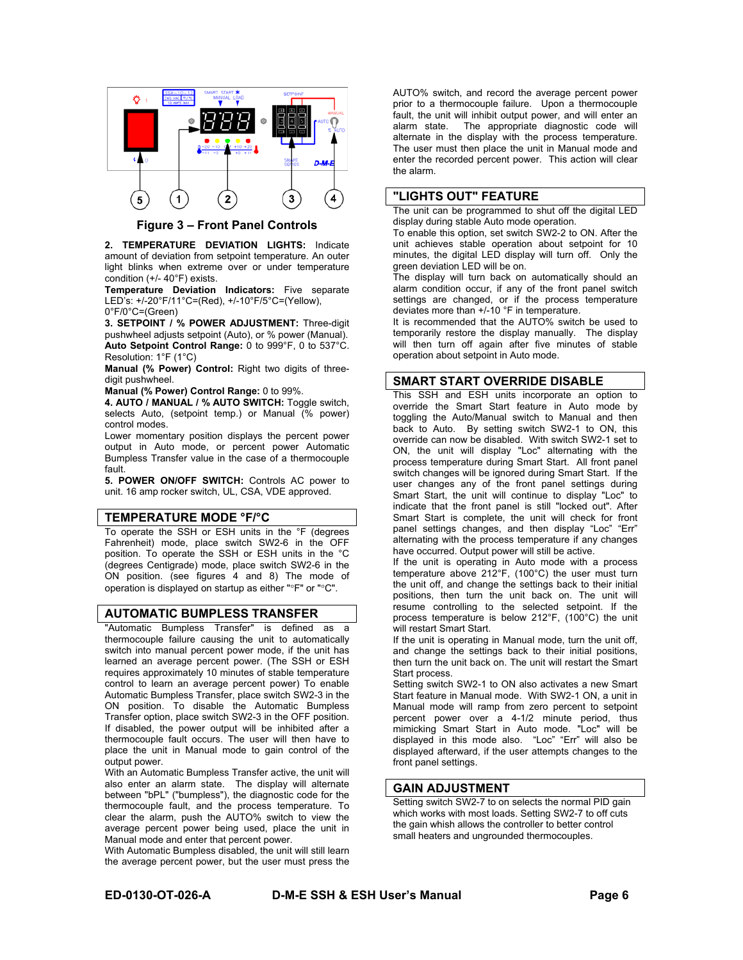

**Figure 3 – Front Panel Controls**

**2. TEMPERATURE DEVIATION LIGHTS:** Indicate amount of deviation from setpoint temperature. An outer light blinks when extreme over or under temperature condition (+/- 40°F) exists.

**Temperature Deviation Indicators:** Five separate LED's: +/-20°F/11°C=(Red), +/-10°F/5°C=(Yellow), 0°F/0°C=(Green)

**3. SETPOINT / % POWER ADJUSTMENT:** Three-digit pushwheel adjusts setpoint (Auto), or % power (Manual). **Auto Setpoint Control Range:** 0 to 999°F, 0 to 537°C. Resolution: 1°F (1°C)

**Manual (% Power) Control:** Right two digits of threedigit pushwheel.

**Manual (% Power) Control Range:** 0 to 99%.

**4. AUTO / MANUAL / % AUTO SWITCH:** Toggle switch, selects Auto, (setpoint temp.) or Manual (% power) control modes.

Lower momentary position displays the percent power output in Auto mode, or percent power Automatic Bumpless Transfer value in the case of a thermocouple fault.

**5. POWER ON/OFF SWITCH:** Controls AC power to unit. 16 amp rocker switch, UL, CSA, VDE approved.

#### **TEMPERATURE MODE °F/°C**

To operate the SSH or ESH units in the °F (degrees Fahrenheit) mode, place switch SW2-6 in the OFF position. To operate the SSH or ESH units in the °C (degrees Centigrade) mode, place switch SW2-6 in the ON position. (see figures 4 and 8) The mode of operation is displayed on startup as either "°F" or "°C".

#### **AUTOMATIC BUMPLESS TRANSFER**

"Automatic Bumpless Transfer" is defined as a thermocouple failure causing the unit to automatically switch into manual percent power mode, if the unit has learned an average percent power. (The SSH or ESH requires approximately 10 minutes of stable temperature control to learn an average percent power) To enable Automatic Bumpless Transfer, place switch SW2-3 in the ON position. To disable the Automatic Bumpless Transfer option, place switch SW2-3 in the OFF position. If disabled, the power output will be inhibited after a thermocouple fault occurs. The user will then have to place the unit in Manual mode to gain control of the output power.

With an Automatic Bumpless Transfer active, the unit will also enter an alarm state. The display will alternate between "bPL" ("bumpless"), the diagnostic code for the thermocouple fault, and the process temperature. To clear the alarm, push the AUTO% switch to view the average percent power being used, place the unit in Manual mode and enter that percent power.

With Automatic Bumpless disabled, the unit will still learn the average percent power, but the user must press the

AUTO% switch, and record the average percent power prior to a thermocouple failure. Upon a thermocouple fault, the unit will inhibit output power, and will enter an alarm state. The appropriate diagnostic code will alternate in the display with the process temperature. The user must then place the unit in Manual mode and enter the recorded percent power. This action will clear the alarm.

#### **"LIGHTS OUT" FEATURE**

The unit can be programmed to shut off the digital LED display during stable Auto mode operation.

To enable this option, set switch SW2-2 to ON. After the unit achieves stable operation about setpoint for 10 minutes, the digital LED display will turn off. Only the green deviation LED will be on.

The display will turn back on automatically should an alarm condition occur, if any of the front panel switch settings are changed, or if the process temperature deviates more than +/-10 °F in temperature.

It is recommended that the AUTO% switch be used to temporarily restore the display manually. The display will then turn off again after five minutes of stable operation about setpoint in Auto mode.

#### **SMART START OVERRIDE DISABLE**

This SSH and ESH units incorporate an option to override the Smart Start feature in Auto mode by toggling the Auto/Manual switch to Manual and then back to Auto. By setting switch SW2-1 to ON, this override can now be disabled. With switch SW2-1 set to ON, the unit will display "Loc" alternating with the process temperature during Smart Start. All front panel switch changes will be ignored during Smart Start. If the user changes any of the front panel settings during Smart Start, the unit will continue to display "Loc" to indicate that the front panel is still "locked out". After Smart Start is complete, the unit will check for front panel settings changes, and then display "Loc" "Err" alternating with the process temperature if any changes have occurred. Output power will still be active.

If the unit is operating in Auto mode with a process temperature above 212°F, (100°C) the user must turn the unit off, and change the settings back to their initial positions, then turn the unit back on. The unit will resume controlling to the selected setpoint. If the process temperature is below 212°F, (100°C) the unit will restart Smart Start.

If the unit is operating in Manual mode, turn the unit off, and change the settings back to their initial positions, then turn the unit back on. The unit will restart the Smart Start process.

Setting switch SW2-1 to ON also activates a new Smart Start feature in Manual mode. With SW2-1 ON, a unit in Manual mode will ramp from zero percent to setpoint percent power over a 4-1/2 minute period, thus mimicking Smart Start in Auto mode. "Loc" will be displayed in this mode also. "Loc" "Err" will also be displayed afterward, if the user attempts changes to the front panel settings.

#### **GAIN ADJUSTMENT**

Setting switch SW2-7 to on selects the normal PID gain which works with most loads. Setting SW2-7 to off cuts the gain whish allows the controller to better control small heaters and ungrounded thermocouples.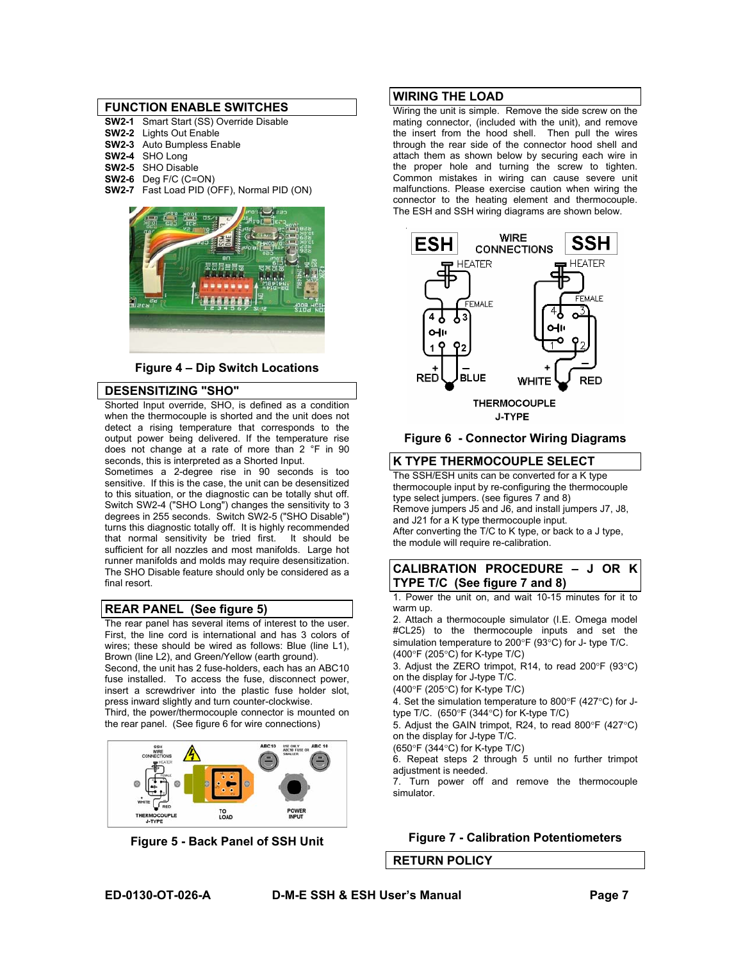#### **FUNCTION ENABLE SWITCHES**

| <b>SW2-1</b> Smart Start (SS) Override Disable |
|------------------------------------------------|
| <b>SW2-2</b> Lights Out Enable                 |
| SW2-3 Auto Bumpless Enable                     |
| SW2-4 SHO Long                                 |
| SW2-5 SHO Disable                              |
| $SW2-6$ Deq F/C (C=ON)                         |
| SW2-7 Fast Load PID (OFF), Normal PID (ON)     |
|                                                |



**Figure 4 – Dip Switch Locations**

### **DESENSITIZING "SHO"**

Shorted Input override, SHO, is defined as a condition when the thermocouple is shorted and the unit does not detect a rising temperature that corresponds to the output power being delivered. If the temperature rise does not change at a rate of more than 2 °F in 90 seconds, this is interpreted as a Shorted Input.

Sometimes a 2-degree rise in 90 seconds is too sensitive. If this is the case, the unit can be desensitized to this situation, or the diagnostic can be totally shut off. Switch SW2-4 ("SHO Long") changes the sensitivity to 3 degrees in 255 seconds. Switch SW2-5 ("SHO Disable") turns this diagnostic totally off. It is highly recommended that normal sensitivity be tried first. It should be sufficient for all nozzles and most manifolds. Large hot runner manifolds and molds may require desensitization. The SHO Disable feature should only be considered as a final resort.

#### **REAR PANEL (See figure 5)**

The rear panel has several items of interest to the user. First, the line cord is international and has 3 colors of wires; these should be wired as follows: Blue (line L1), Brown (line L2), and Green/Yellow (earth ground). Second, the unit has 2 fuse-holders, each has an ABC10 fuse installed. To access the fuse, disconnect power, insert a screwdriver into the plastic fuse holder slot, press inward slightly and turn counter-clockwise. Third, the power/thermocouple connector is mounted on

the rear panel. (See figure 6 for wire connections) ONLY ABC 10





#### **WIRING THE LOAD**

Wiring the unit is simple. Remove the side screw on the mating connector, (included with the unit), and remove the insert from the hood shell. Then pull the wires through the rear side of the connector hood shell and attach them as shown below by securing each wire in the proper hole and turning the screw to tighten. Common mistakes in wiring can cause severe unit malfunctions. Please exercise caution when wiring the connector to the heating element and thermocouple. The ESH and SSH wiring diagrams are shown below.



**Figure 6 - Connector Wiring Diagrams** 

#### **K TYPE THERMOCOUPLE SELECT**

The SSH/ESH units can be converted for a K type thermocouple input by re-configuring the thermocouple type select jumpers. (see figures 7 and 8) Remove jumpers J5 and J6, and install jumpers J7, J8, and J21 for a K type thermocouple input. After converting the T/C to K type, or back to a J type, the module will require re-calibration.

#### **CALIBRATION PROCEDURE – J OR K TYPE T/C (See figure 7 and 8)**

1. Power the unit on, and wait 10-15 minutes for it to warm up.

2. Attach a thermocouple simulator (I.E. Omega model #CL25) to the thermocouple inputs and set the simulation temperature to 200°F (93°C) for J- type T/C. (400°F (205°C) for K-type T/C)

3. Adjust the ZERO trimpot, R14, to read 200°F (93°C) on the display for J-type T/C.

(400°F (205°C) for K-type T/C)

4. Set the simulation temperature to 800°F (427°C) for Jtype T/C. (650°F (344°C) for K-type T/C)

5. Adjust the GAIN trimpot, R24, to read 800°F (427°C) on the display for J-type T/C.

(650°F (344°C) for K-type T/C)

6. Repeat steps 2 through 5 until no further trimpot adjustment is needed.

7. Turn power off and remove the thermocouple simulator.

#### **Figure 7 - Calibration Potentiometers**

**RETURN POLICY**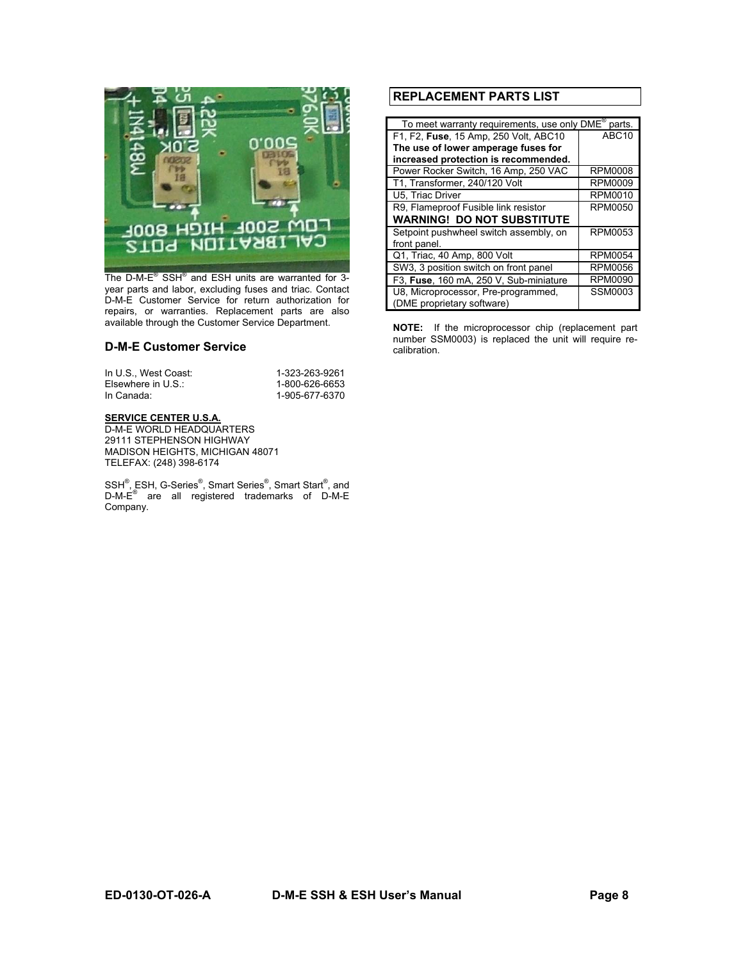

The D-M-E<sup>®</sup> SSH<sup>®</sup> and ESH units are warranted for 3year parts and labor, excluding fuses and triac. Contact D-M-E Customer Service for return authorization for repairs, or warranties. Replacement parts are also available through the Customer Service Department.

#### **D-M-E Customer Service**

| In U.S., West Coast: | 1-323-263-9261 |
|----------------------|----------------|
| Elsewhere in U.S.:   | 1-800-626-6653 |
| In Canada:           | 1-905-677-6370 |

#### **SERVICE CENTER U.S.A.**

D-M-E WORLD HEADQUARTERS 29111 STEPHENSON HIGHWAY MADISON HEIGHTS, MICHIGAN 48071 TELEFAX: (248) 398-6174

SSH<sup>®</sup>, ESH, G-Series<sup>®</sup>, Smart Series<sup>®</sup>, Smart Start<sup>®</sup>, and D-M-E<sup>®</sup> are all registered trademarks of D-M-E Company.

### **REPLACEMENT PARTS LIST**

| To meet warranty requirements, use only DME®<br>parts. |                   |  |  |
|--------------------------------------------------------|-------------------|--|--|
| F1, F2, Fuse, 15 Amp, 250 Volt, ABC10                  | ABC <sub>10</sub> |  |  |
| The use of lower amperage fuses for                    |                   |  |  |
| increased protection is recommended.                   |                   |  |  |
| Power Rocker Switch, 16 Amp, 250 VAC                   | <b>RPM0008</b>    |  |  |
| T1, Transformer, 240/120 Volt                          | RPM0009           |  |  |
| U5. Triac Driver                                       | RPM0010           |  |  |
| R9, Flameproof Fusible link resistor                   | RPM0050           |  |  |
| <b>WARNING! DO NOT SUBSTITUTE</b>                      |                   |  |  |
| Setpoint pushwheel switch assembly, on                 | <b>RPM0053</b>    |  |  |
| front panel.                                           |                   |  |  |
| Q1, Triac, 40 Amp, 800 Volt                            | <b>RPM0054</b>    |  |  |
| SW3, 3 position switch on front panel                  | <b>RPM0056</b>    |  |  |
| F3, Fuse, 160 mA, 250 V, Sub-miniature                 | <b>RPM0090</b>    |  |  |
| U8, Microprocessor, Pre-programmed,                    | <b>SSM0003</b>    |  |  |
| (DME proprietary software)                             |                   |  |  |

**NOTE:** If the microprocessor chip (replacement part number SSM0003) is replaced the unit will require recalibration.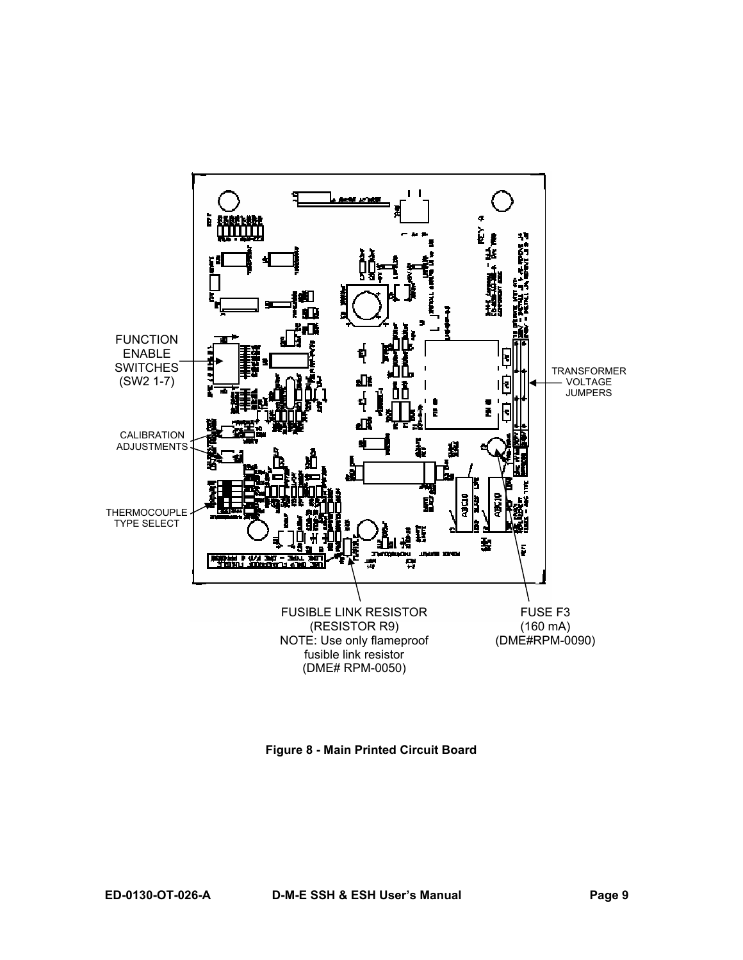

**Figure 8 - Main Printed Circuit Board**